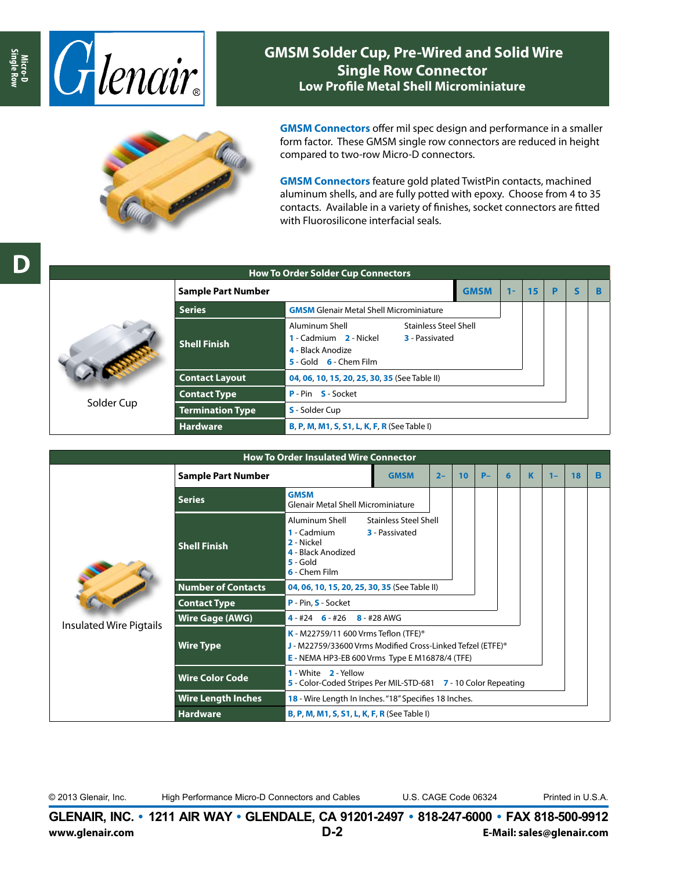

## **GMSM Solder Cup, Pre-Wired and Solid Wire Single Row Connector Low Profile Metal Shell Microminiature**



**GMSM Connectors** offer mil spec design and performance in a smaller form factor. These GMSM single row connectors are reduced in height compared to two-row Micro-D connectors.

**GMSM Connectors** feature gold plated TwistPin contacts, machined aluminum shells, and are fully potted with epoxy. Choose from 4 to 35 contacts. Available in a variety of finishes, socket connectors are fitted with Fluorosilicone interfacial seals.



|                           | <b>How To Order Solder Cup Connectors</b>                                                                                                                                  |       |    |   |             |   |  |
|---------------------------|----------------------------------------------------------------------------------------------------------------------------------------------------------------------------|-------|----|---|-------------|---|--|
| <b>Sample Part Number</b> | <b>GMSM</b>                                                                                                                                                                | $1 -$ | 15 | P | $\mathbf s$ | R |  |
| <b>Series</b>             |                                                                                                                                                                            |       |    |   |             |   |  |
| <b>Shell Finish</b>       | Aluminum Shell<br><b>Stainless Steel Shell</b><br>1 - Cadmium 2 - Nickel<br><b>3</b> - Passivated<br>4 - Black Anodize<br>$\overline{5}$ - Gold $\overline{6}$ - Chem Film |       |    |   |             |   |  |
| <b>Contact Layout</b>     | 04, 06, 10, 15, 20, 25, 30, 35 (See Table II)                                                                                                                              |       |    |   |             |   |  |
| <b>Contact Type</b>       | <b>P</b> - Pin <b>S</b> - Socket                                                                                                                                           |       |    |   |             |   |  |
| <b>Termination Type</b>   | <b>S</b> - Solder Cup                                                                                                                                                      |       |    |   |             |   |  |
| <b>Hardware</b>           | <b>B, P, M, M1, S, S1, L, K, F, R (See Table I)</b>                                                                                                                        |       |    |   |             |   |  |

| <b>How To Order Insulated Wire Connector</b> |                                                                                                                                                                                                                |                                                                                                                                                           |             |       |    |      |   |   |       |    |   |  |
|----------------------------------------------|----------------------------------------------------------------------------------------------------------------------------------------------------------------------------------------------------------------|-----------------------------------------------------------------------------------------------------------------------------------------------------------|-------------|-------|----|------|---|---|-------|----|---|--|
|                                              | <b>Sample Part Number</b>                                                                                                                                                                                      |                                                                                                                                                           | <b>GMSM</b> | $2 -$ | 10 | $P-$ | 6 | K | $1 -$ | 18 | в |  |
|                                              | <b>Series</b>                                                                                                                                                                                                  | <b>GMSM</b><br>Glenair Metal Shell Microminiature                                                                                                         |             |       |    |      |   |   |       |    |   |  |
|                                              | <b>Shell Finish</b>                                                                                                                                                                                            | Aluminum Shell<br><b>Stainless Steel Shell</b><br>1 - Cadmium<br><b>3</b> - Passivated<br>2 - Nickel<br>4 - Black Anodized<br>$5 -$ Gold<br>6 - Chem Film |             |       |    |      |   |   |       |    |   |  |
|                                              | <b>Number of Contacts</b>                                                                                                                                                                                      | 04, 06, 10, 15, 20, 25, 30, 35 (See Table II)                                                                                                             |             |       |    |      |   |   |       |    |   |  |
|                                              | <b>Contact Type</b>                                                                                                                                                                                            | P - Pin, S - Socket                                                                                                                                       |             |       |    |      |   |   |       |    |   |  |
| <b>Insulated Wire Pigtails</b>               | <b>Wire Gage (AWG)</b>                                                                                                                                                                                         | $4 - #24$ 6 - #26 8 - #28 AWG                                                                                                                             |             |       |    |      |   |   |       |    |   |  |
|                                              | <b>K</b> - M22759/11 600 Vrms Teflon (TFE) <sup>®</sup><br><b>Wire Type</b><br>J - M22759/33600 Vrms Modified Cross-Linked Tefzel (ETFE) <sup>®</sup><br><b>E</b> - NEMA HP3-EB 600 Vrms Type E M16878/4 (TFE) |                                                                                                                                                           |             |       |    |      |   |   |       |    |   |  |
|                                              | <b>Wire Color Code</b>                                                                                                                                                                                         | 1 - White 2 - Yellow<br>5 - Color-Coded Stripes Per MIL-STD-681 7 - 10 Color Repeating                                                                    |             |       |    |      |   |   |       |    |   |  |
|                                              | <b>Wire Length Inches</b>                                                                                                                                                                                      | 18 - Wire Length In Inches. "18" Specifies 18 Inches.                                                                                                     |             |       |    |      |   |   |       |    |   |  |
|                                              | <b>Hardware</b>                                                                                                                                                                                                | <b>B, P, M, M1, S, S1, L, K, F, R (See Table I)</b>                                                                                                       |             |       |    |      |   |   |       |    |   |  |

© 2013 Glenair, Inc. High Performance Micro-D Connectors and Cables U.S. CAGE Code 06324 Printed in U.S.A.

**GLENAIR, INC. • 1211 AIR WAY • GLENDALE, CA 91201-2497 • 818-247-6000 • FAX 818-500-9912 www.glenair.com D-2 E-Mail: sales@glenair.com**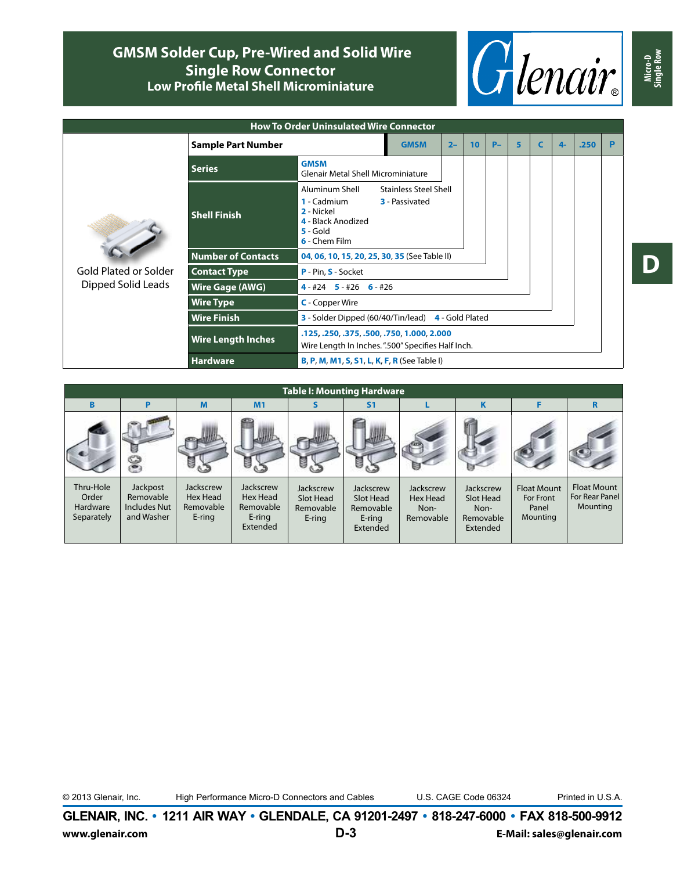## **GMSM Solder Cup, Pre-Wired and Solid Wire Single Row Connector Low Profile Metal Shell Microminiature**



| <b>How To Order Uninsulated Wire Connector</b> |                           |                                                                                                                                                                         |       |                 |      |   |   |      |      |   |  |  |
|------------------------------------------------|---------------------------|-------------------------------------------------------------------------------------------------------------------------------------------------------------------------|-------|-----------------|------|---|---|------|------|---|--|--|
|                                                | <b>Sample Part Number</b> | <b>GMSM</b>                                                                                                                                                             | $2 -$ | 10 <sup>°</sup> | $P-$ | 5 | C | $4-$ | .250 | P |  |  |
|                                                | <b>Series</b>             | <b>GMSM</b><br><b>Glenair Metal Shell Microminiature</b>                                                                                                                |       |                 |      |   |   |      |      |   |  |  |
|                                                | <b>Shell Finish</b>       | Aluminum Shell<br><b>Stainless Steel Shell</b><br><b>1</b> - Cadmium<br><b>3</b> - Passivated<br>2 - Nickel<br>4 - Black Anodized<br>$5 -$ Gold<br><b>6</b> - Chem Film |       |                 |      |   |   |      |      |   |  |  |
|                                                | <b>Number of Contacts</b> | 04, 06, 10, 15, 20, 25, 30, 35 (See Table II)                                                                                                                           |       |                 |      |   |   |      |      |   |  |  |
| Gold Plated or Solder                          | <b>Contact Type</b>       | P - Pin, S - Socket                                                                                                                                                     |       |                 |      |   |   |      |      |   |  |  |
| Dipped Solid Leads                             | <b>Wire Gage (AWG)</b>    | $4 - #24$ 5 - #26 6 - #26                                                                                                                                               |       |                 |      |   |   |      |      |   |  |  |
|                                                | <b>Wire Type</b>          |                                                                                                                                                                         |       |                 |      |   |   |      |      |   |  |  |
|                                                | <b>Wire Finish</b>        | 3 - Solder Dipped (60/40/Tin/lead)<br>4 - Gold Plated                                                                                                                   |       |                 |      |   |   |      |      |   |  |  |
|                                                | <b>Wire Length Inches</b> | .125, .250, .375, .500, .750, 1.000, 2.000<br>Wire Length In Inches.".500" Specifies Half Inch.                                                                         |       |                 |      |   |   |      |      |   |  |  |
|                                                | <b>Hardware</b>           | <b>B, P, M, M1, S, S1, L, K, F, R</b> (See Table I)                                                                                                                     |       |                 |      |   |   |      |      |   |  |  |
|                                                |                           |                                                                                                                                                                         |       |                 |      |   |   |      |      |   |  |  |

| <b>Table I: Mounting Hardware</b>                   |                                                            |                                                     |                                                             |                                               |                                                           |                                            |                                                         |                                                      |                                                  |  |  |  |  |  |
|-----------------------------------------------------|------------------------------------------------------------|-----------------------------------------------------|-------------------------------------------------------------|-----------------------------------------------|-----------------------------------------------------------|--------------------------------------------|---------------------------------------------------------|------------------------------------------------------|--------------------------------------------------|--|--|--|--|--|
| B                                                   | P                                                          | M                                                   | M1                                                          | s                                             | S <sub>1</sub>                                            |                                            | K                                                       | F                                                    | R                                                |  |  |  |  |  |
|                                                     |                                                            |                                                     | š                                                           | e                                             | 医                                                         |                                            |                                                         |                                                      |                                                  |  |  |  |  |  |
| Thru-Hole<br>Order<br><b>Hardware</b><br>Separately | Jackpost<br>Removable<br><b>Includes Nut</b><br>and Washer | <b>Jackscrew</b><br>Hex Head<br>Removable<br>E-ring | Jackscrew<br>Hex Head<br>Removable<br>$E$ -ring<br>Extended | Jackscrew<br>Slot Head<br>Removable<br>E-ring | Jackscrew<br>Slot Head<br>Removable<br>E-ring<br>Extended | Jackscrew<br>Hex Head<br>Non-<br>Removable | Jackscrew<br>Slot Head<br>Non-<br>Removable<br>Extended | <b>Float Mount</b><br>For Front<br>Panel<br>Mounting | <b>Float Mount</b><br>For Rear Panel<br>Mounting |  |  |  |  |  |



© 2013 Glenair, Inc. High Performance Micro-D Connectors and Cables U.S. CAGE Code 06324 Printed in U.S.A.

**GLENAIR, INC. • 1211 AIR WAY • GLENDALE, CA 91201-2497 • 818-247-6000 • FAX 818-500-9912 www.glenair.com D-3 E-Mail: sales@glenair.com** **Micro-D Single Row**